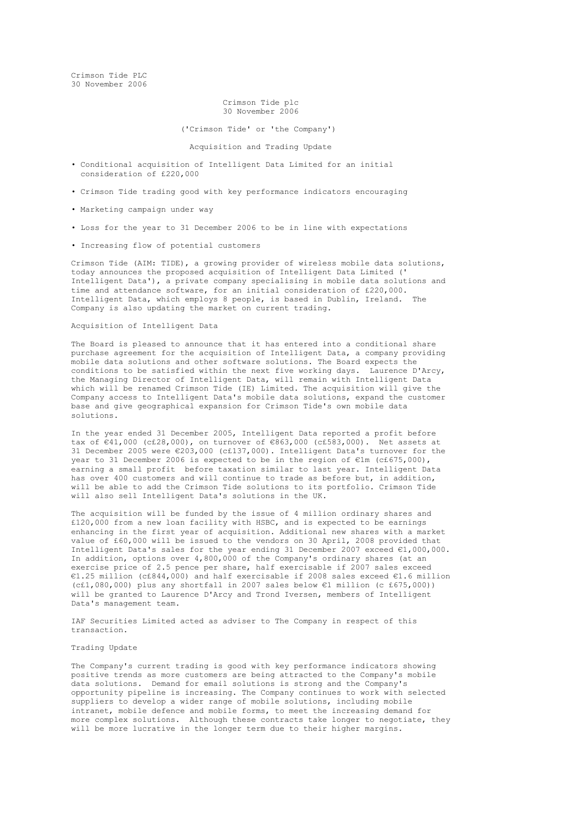Crimson Tide PLC 30 November 2006

# Crimson Tide plc 30 November 2006

### ('Crimson Tide' or 'the Company')

### Acquisition and Trading Update

- Conditional acquisition of Intelligent Data Limited for an initial consideration of £220,000
- Crimson Tide trading good with key performance indicators encouraging
- Marketing campaign under way
- Loss for the year to 31 December 2006 to be in line with expectations
- Increasing flow of potential customers

Crimson Tide (AIM: TIDE), a growing provider of wireless mobile data solutions, today announces the proposed acquisition of Intelligent Data Limited (' Intelligent Data'), a private company specialising in mobile data solutions and time and attendance software, for an initial consideration of £220,000. Intelligent Data, which employs 8 people, is based in Dublin, Ireland. The Company is also updating the market on current trading.

### Acquisition of Intelligent Data

The Board is pleased to announce that it has entered into a conditional share purchase agreement for the acquisition of Intelligent Data, a company providing mobile data solutions and other software solutions. The Board expects the conditions to be satisfied within the next five working days. Laurence D'Arcy, the Managing Director of Intelligent Data, will remain with Intelligent Data which will be renamed Crimson Tide (IE) Limited. The acquisition will give the Company access to Intelligent Data's mobile data solutions, expand the customer base and give geographical expansion for Crimson Tide's own mobile data solutions.

In the year ended 31 December 2005, Intelligent Data reported a profit before tax of €41,000 (c£28,000), on turnover of €863,000 (c£583,000). Net assets at 31 December 2005 were €203,000 (c£137,000). Intelligent Data's turnover for the year to 31 December 2006 is expected to be in the region of €1m (c£675,000), earning a small profit before taxation similar to last year. Intelligent Data has over 400 customers and will continue to trade as before but, in addition, will be able to add the Crimson Tide solutions to its portfolio. Crimson Tide will also sell Intelligent Data's solutions in the UK.

The acquisition will be funded by the issue of 4 million ordinary shares and £120,000 from a new loan facility with HSBC, and is expected to be earnings enhancing in the first year of acquisition. Additional new shares with a market value of £60,000 will be issued to the vendors on 30 April, 2008 provided that Intelligent Data's sales for the year ending 31 December 2007 exceed €1,000,000. In addition, options over 4,800,000 of the Company's ordinary shares (at an exercise price of 2.5 pence per share, half exercisable if 2007 sales exceed €1.25 million (c£844,000) and half exercisable if 2008 sales exceed €1.6 million (c£1,080,000) plus any shortfall in 2007 sales below €1 million (c £675,000)) will be granted to Laurence D'Arcy and Trond Iversen, members of Intelligent Data's management team.

IAF Securities Limited acted as adviser to The Company in respect of this transaction.

## Trading Update

The Company's current trading is good with key performance indicators showing positive trends as more customers are being attracted to the Company's mobile data solutions. Demand for email solutions is strong and the Company's opportunity pipeline is increasing. The Company continues to work with selected suppliers to develop a wider range of mobile solutions, including mobile intranet, mobile defence and mobile forms, to meet the increasing demand for more complex solutions. Although these contracts take longer to negotiate, they will be more lucrative in the longer term due to their higher margins.